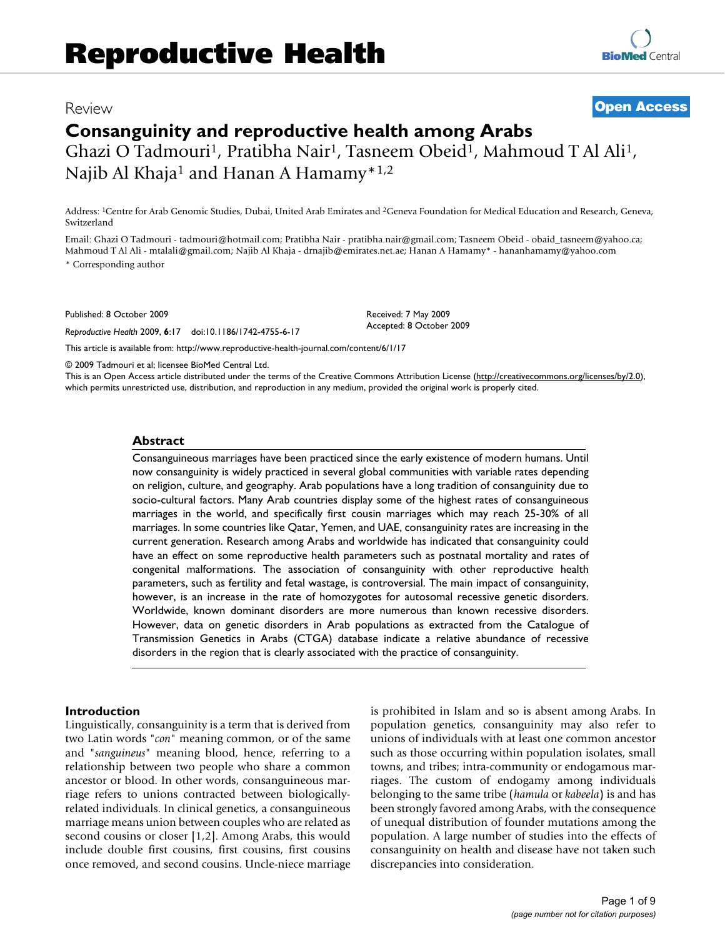# Review **[Open Access](http://www.biomedcentral.com/info/about/charter/)**

# **Consanguinity and reproductive health among Arabs** Ghazi O Tadmouri<sup>1</sup>, Pratibha Nair<sup>1</sup>, Tasneem Obeid<sup>1</sup>, Mahmoud T Al Ali<sup>1</sup>, Najib Al Khaja<sup>1</sup> and Hanan A Hamamy<sup>\*1,2</sup>

Address: 1Centre for Arab Genomic Studies, Dubai, United Arab Emirates and 2Geneva Foundation for Medical Education and Research, Geneva, Switzerland

Email: Ghazi O Tadmouri - tadmouri@hotmail.com; Pratibha Nair - pratibha.nair@gmail.com; Tasneem Obeid - obaid\_tasneem@yahoo.ca; Mahmoud T Al Ali - mtalali@gmail.com; Najib Al Khaja - drnajib@emirates.net.ae; Hanan A Hamamy\* - hananhamamy@yahoo.com \* Corresponding author

Published: 8 October 2009

*Reproductive Health* 2009, **6**:17 doi:10.1186/1742-4755-6-17

Received: 7 May 2009 Accepted: 8 October 2009

[This article is available from: http://www.reproductive-health-journal.com/content/6/1/17](http://www.reproductive-health-journal.com/content/6/1/17)

© 2009 Tadmouri et al; licensee BioMed Central Ltd.

This is an Open Access article distributed under the terms of the Creative Commons Attribution License [\(http://creativecommons.org/licenses/by/2.0\)](http://creativecommons.org/licenses/by/2.0), which permits unrestricted use, distribution, and reproduction in any medium, provided the original work is properly cited.

#### **Abstract**

Consanguineous marriages have been practiced since the early existence of modern humans. Until now consanguinity is widely practiced in several global communities with variable rates depending on religion, culture, and geography. Arab populations have a long tradition of consanguinity due to socio-cultural factors. Many Arab countries display some of the highest rates of consanguineous marriages in the world, and specifically first cousin marriages which may reach 25-30% of all marriages. In some countries like Qatar, Yemen, and UAE, consanguinity rates are increasing in the current generation. Research among Arabs and worldwide has indicated that consanguinity could have an effect on some reproductive health parameters such as postnatal mortality and rates of congenital malformations. The association of consanguinity with other reproductive health parameters, such as fertility and fetal wastage, is controversial. The main impact of consanguinity, however, is an increase in the rate of homozygotes for autosomal recessive genetic disorders. Worldwide, known dominant disorders are more numerous than known recessive disorders. However, data on genetic disorders in Arab populations as extracted from the Catalogue of Transmission Genetics in Arabs (CTGA) database indicate a relative abundance of recessive disorders in the region that is clearly associated with the practice of consanguinity.

#### **Introduction**

Linguistically, consanguinity is a term that is derived from two Latin words "*con*" meaning common, or of the same and "*sanguineus*" meaning blood, hence, referring to a relationship between two people who share a common ancestor or blood. In other words, consanguineous marriage refers to unions contracted between biologicallyrelated individuals. In clinical genetics, a consanguineous marriage means union between couples who are related as second cousins or closer [1,2]. Among Arabs, this would include double first cousins, first cousins, first cousins once removed, and second cousins. Uncle-niece marriage is prohibited in Islam and so is absent among Arabs. In population genetics, consanguinity may also refer to unions of individuals with at least one common ancestor such as those occurring within population isolates, small towns, and tribes; intra-community or endogamous marriages. The custom of endogamy among individuals belonging to the same tribe (*hamula* or *kabeela*) is and has been strongly favored among Arabs, with the consequence of unequal distribution of founder mutations among the population. A large number of studies into the effects of consanguinity on health and disease have not taken such discrepancies into consideration.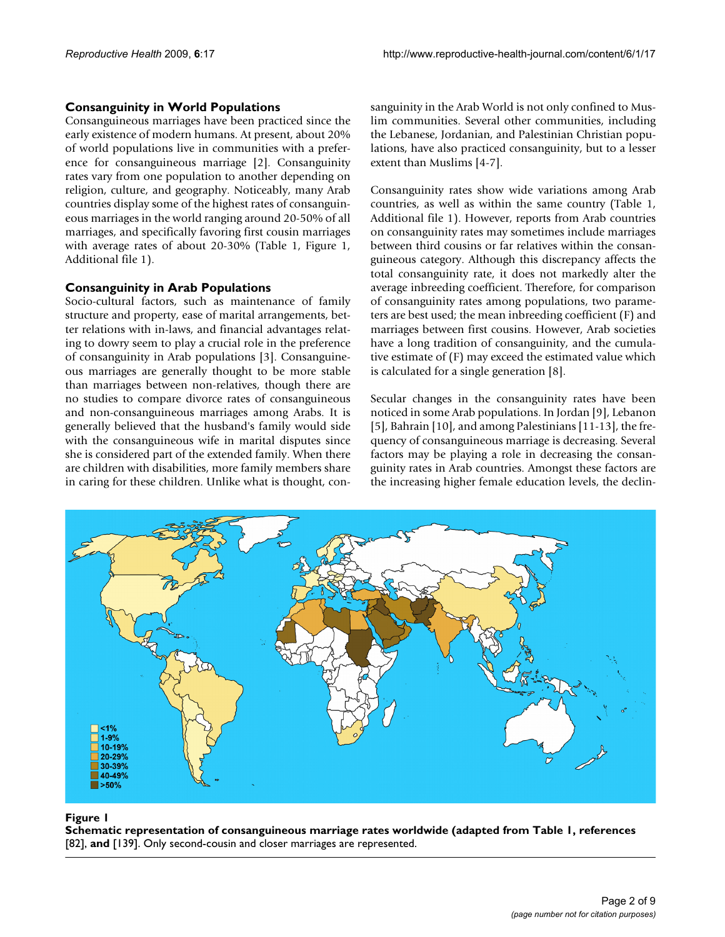#### **Consanguinity in World Populations**

Consanguineous marriages have been practiced since the early existence of modern humans. At present, about 20% of world populations live in communities with a preference for consanguineous marriage [2]. Consanguinity rates vary from one population to another depending on religion, culture, and geography. Noticeably, many Arab countries display some of the highest rates of consanguineous marriages in the world ranging around 20-50% of all marriages, and specifically favoring first cousin marriages with average rates of about 20-30% (Table 1, Figure 1, Additional file 1).

#### **Consanguinity in Arab Populations**

Socio-cultural factors, such as maintenance of family structure and property, ease of marital arrangements, better relations with in-laws, and financial advantages relating to dowry seem to play a crucial role in the preference of consanguinity in Arab populations [3]. Consanguineous marriages are generally thought to be more stable than marriages between non-relatives, though there are no studies to compare divorce rates of consanguineous and non-consanguineous marriages among Arabs. It is generally believed that the husband's family would side with the consanguineous wife in marital disputes since she is considered part of the extended family. When there are children with disabilities, more family members share in caring for these children. Unlike what is thought, consanguinity in the Arab World is not only confined to Muslim communities. Several other communities, including the Lebanese, Jordanian, and Palestinian Christian populations, have also practiced consanguinity, but to a lesser extent than Muslims [4-7].

Consanguinity rates show wide variations among Arab countries, as well as within the same country (Table 1, Additional file 1). However, reports from Arab countries on consanguinity rates may sometimes include marriages between third cousins or far relatives within the consanguineous category. Although this discrepancy affects the total consanguinity rate, it does not markedly alter the average inbreeding coefficient. Therefore, for comparison of consanguinity rates among populations, two parameters are best used; the mean inbreeding coefficient (F) and marriages between first cousins. However, Arab societies have a long tradition of consanguinity, and the cumulative estimate of (F) may exceed the estimated value which is calculated for a single generation [8].

Secular changes in the consanguinity rates have been noticed in some Arab populations. In Jordan [9], Lebanon [5], Bahrain [10], and among Palestinians [11-13], the frequency of consanguineous marriage is decreasing. Several factors may be playing a role in decreasing the consanguinity rates in Arab countries. Amongst these factors are the increasing higher female education levels, the declin-



#### **Figure 1** Schematic representation of consanguineous marriage rates worldwide (adapted from Table 1, references [82], and [139]

**Schematic representation of consanguineous marriage rates worldwide (adapted from Table 1, references**  [82], **and** [139]. Only second-cousin and closer marriages are represented.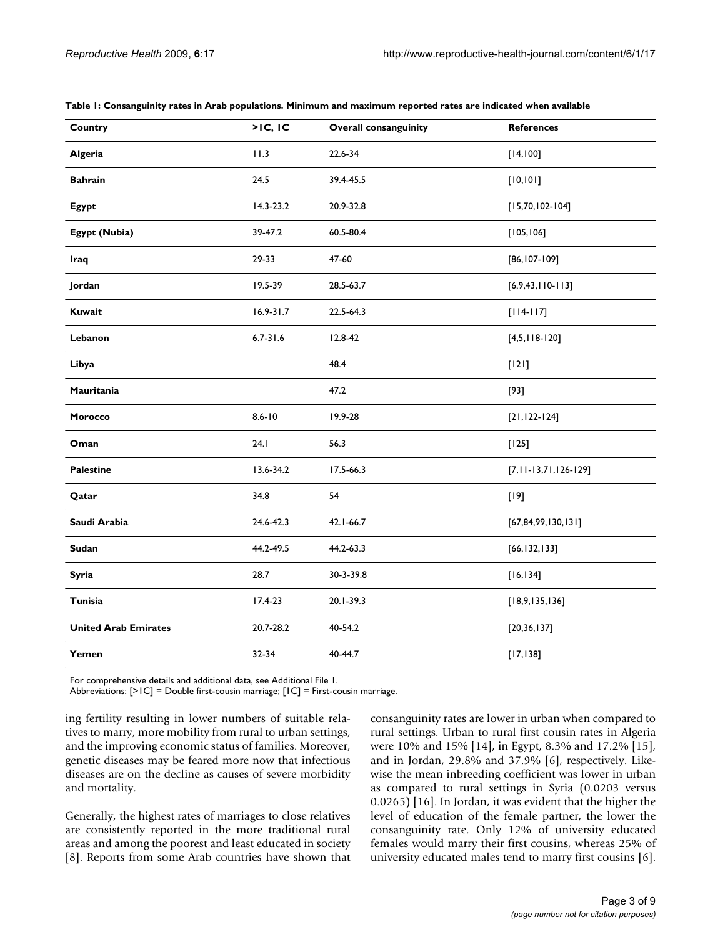| Country                     | $>$ IC, IC    | <b>Overall consanguinity</b> | <b>References</b>             |
|-----------------------------|---------------|------------------------------|-------------------------------|
| Algeria                     | 11.3          | 22.6-34                      | [14, 100]                     |
| <b>Bahrain</b>              | 24.5          | 39.4-45.5                    | $[10, 101]$                   |
| Egypt                       | $14.3 - 23.2$ | 20.9-32.8                    | $[15,70,102-104]$             |
| Egypt (Nubia)               | 39-47.2       | 60.5-80.4                    | [105, 106]                    |
| Iraq                        | 29-33         | 47-60                        | $[86, 107 - 109]$             |
| Jordan                      | 19.5-39       | 28.5-63.7                    | $[6,9,43,110-113]$            |
| Kuwait                      | $16.9 - 31.7$ | 22.5-64.3                    | $[114-117]$                   |
| Lebanon                     | $6.7 - 31.6$  | $12.8 - 42$                  | $[4,5,118-120]$               |
| Libya                       |               | 48.4                         | $[121]$                       |
| <b>Mauritania</b>           |               | 47.2                         | $[93]$                        |
| Morocco                     | $8.6 - 10$    | 19.9-28                      | $[21, 122 - 124]$             |
| Oman                        | 24.1          | 56.3                         | $[125]$                       |
| <b>Palestine</b>            | 13.6-34.2     | 17.5-66.3                    | $[7, 11 - 13, 71, 126 - 129]$ |
| Qatar                       | 34.8          | 54                           | [19]                          |
| Saudi Arabia                | 24.6-42.3     | 42.1-66.7                    | [67, 84, 99, 130, 131]        |
| Sudan                       | 44.2-49.5     | 44.2-63.3                    | [66, 132, 133]                |
| Syria                       | 28.7          | 30-3-39.8                    | [16, 134]                     |
| Tunisia                     | $17.4 - 23$   | 20.1-39.3                    | [18, 9, 135, 136]             |
| <b>United Arab Emirates</b> | 20.7-28.2     | 40-54.2                      | [20, 36, 137]                 |
| Yemen                       | $32 - 34$     | 40-44.7                      | [17, 138]                     |

**Table 1: Consanguinity rates in Arab populations. Minimum and maximum reported rates are indicated when available**

For comprehensive details and additional data, see Additional File 1.

Abbreviations: [>1C] = Double first-cousin marriage; [1C] = First-cousin marriage.

ing fertility resulting in lower numbers of suitable relatives to marry, more mobility from rural to urban settings, and the improving economic status of families. Moreover, genetic diseases may be feared more now that infectious diseases are on the decline as causes of severe morbidity and mortality.

Generally, the highest rates of marriages to close relatives are consistently reported in the more traditional rural areas and among the poorest and least educated in society [8]. Reports from some Arab countries have shown that

consanguinity rates are lower in urban when compared to rural settings. Urban to rural first cousin rates in Algeria were 10% and 15% [14], in Egypt, 8.3% and 17.2% [15], and in Jordan, 29.8% and 37.9% [6], respectively. Likewise the mean inbreeding coefficient was lower in urban as compared to rural settings in Syria (0.0203 versus 0.0265) [16]. In Jordan, it was evident that the higher the level of education of the female partner, the lower the consanguinity rate. Only 12% of university educated females would marry their first cousins, whereas 25% of university educated males tend to marry first cousins [6].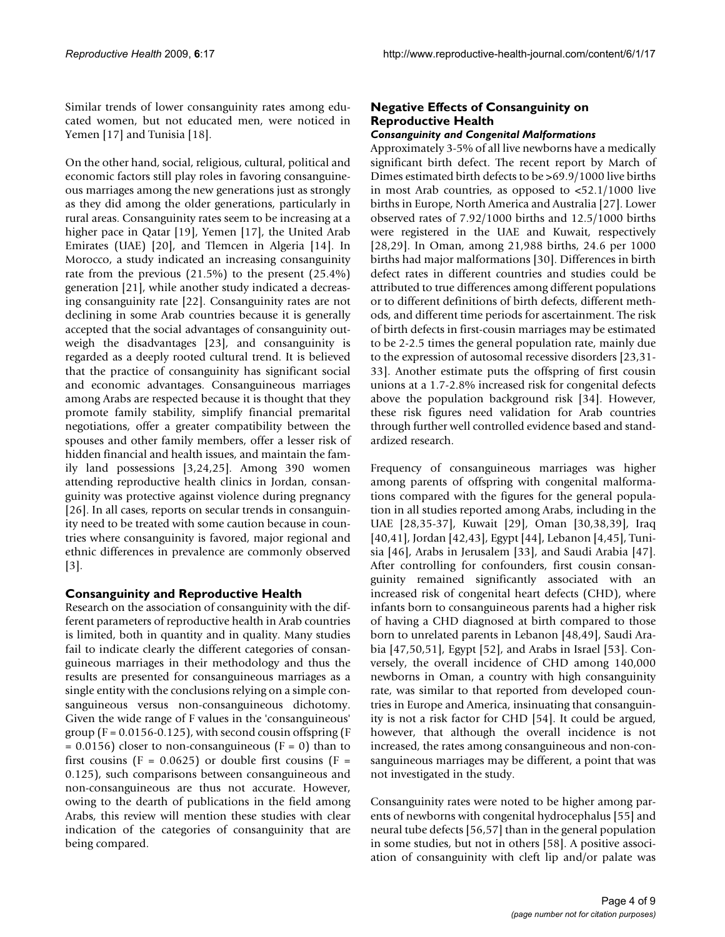Similar trends of lower consanguinity rates among educated women, but not educated men, were noticed in Yemen [17] and Tunisia [18].

On the other hand, social, religious, cultural, political and economic factors still play roles in favoring consanguineous marriages among the new generations just as strongly as they did among the older generations, particularly in rural areas. Consanguinity rates seem to be increasing at a higher pace in Qatar [19], Yemen [17], the United Arab Emirates (UAE) [20], and Tlemcen in Algeria [14]. In Morocco, a study indicated an increasing consanguinity rate from the previous (21.5%) to the present (25.4%) generation [21], while another study indicated a decreasing consanguinity rate [22]. Consanguinity rates are not declining in some Arab countries because it is generally accepted that the social advantages of consanguinity outweigh the disadvantages [23], and consanguinity is regarded as a deeply rooted cultural trend. It is believed that the practice of consanguinity has significant social and economic advantages. Consanguineous marriages among Arabs are respected because it is thought that they promote family stability, simplify financial premarital negotiations, offer a greater compatibility between the spouses and other family members, offer a lesser risk of hidden financial and health issues, and maintain the family land possessions [3,24,25]. Among 390 women attending reproductive health clinics in Jordan, consanguinity was protective against violence during pregnancy [26]. In all cases, reports on secular trends in consanguinity need to be treated with some caution because in countries where consanguinity is favored, major regional and ethnic differences in prevalence are commonly observed [3].

### **Consanguinity and Reproductive Health**

Research on the association of consanguinity with the different parameters of reproductive health in Arab countries is limited, both in quantity and in quality. Many studies fail to indicate clearly the different categories of consanguineous marriages in their methodology and thus the results are presented for consanguineous marriages as a single entity with the conclusions relying on a simple consanguineous versus non-consanguineous dichotomy. Given the wide range of F values in the 'consanguineous' group ( $F = 0.0156 - 0.125$ ), with second cousin offspring (F  $= 0.0156$ ) closer to non-consanguineous (F  $= 0$ ) than to first cousins (F =  $0.0625$ ) or double first cousins (F = 0.125), such comparisons between consanguineous and non-consanguineous are thus not accurate. However, owing to the dearth of publications in the field among Arabs, this review will mention these studies with clear indication of the categories of consanguinity that are being compared.

## **Negative Effects of Consanguinity on Reproductive Health**

## *Consanguinity and Congenital Malformations*

Approximately 3-5% of all live newborns have a medically significant birth defect. The recent report by March of Dimes estimated birth defects to be >69.9/1000 live births in most Arab countries, as opposed to <52.1/1000 live births in Europe, North America and Australia [27]. Lower observed rates of 7.92/1000 births and 12.5/1000 births were registered in the UAE and Kuwait, respectively [28,29]. In Oman, among 21,988 births, 24.6 per 1000 births had major malformations [30]. Differences in birth defect rates in different countries and studies could be attributed to true differences among different populations or to different definitions of birth defects, different methods, and different time periods for ascertainment. The risk of birth defects in first-cousin marriages may be estimated to be 2-2.5 times the general population rate, mainly due to the expression of autosomal recessive disorders [23,31- 33]. Another estimate puts the offspring of first cousin unions at a 1.7-2.8% increased risk for congenital defects above the population background risk [34]. However, these risk figures need validation for Arab countries through further well controlled evidence based and standardized research.

Frequency of consanguineous marriages was higher among parents of offspring with congenital malformations compared with the figures for the general population in all studies reported among Arabs, including in the UAE [28,35-37], Kuwait [29], Oman [30,38,39], Iraq [40,41], Jordan [42,43], Egypt [44], Lebanon [4,45], Tunisia [46], Arabs in Jerusalem [33], and Saudi Arabia [47]. After controlling for confounders, first cousin consanguinity remained significantly associated with an increased risk of congenital heart defects (CHD), where infants born to consanguineous parents had a higher risk of having a CHD diagnosed at birth compared to those born to unrelated parents in Lebanon [48,49], Saudi Arabia [47,50,51], Egypt [52], and Arabs in Israel [53]. Conversely, the overall incidence of CHD among 140,000 newborns in Oman, a country with high consanguinity rate, was similar to that reported from developed countries in Europe and America, insinuating that consanguinity is not a risk factor for CHD [54]. It could be argued, however, that although the overall incidence is not increased, the rates among consanguineous and non-consanguineous marriages may be different, a point that was not investigated in the study.

Consanguinity rates were noted to be higher among parents of newborns with congenital hydrocephalus [55] and neural tube defects [56,57] than in the general population in some studies, but not in others [58]. A positive association of consanguinity with cleft lip and/or palate was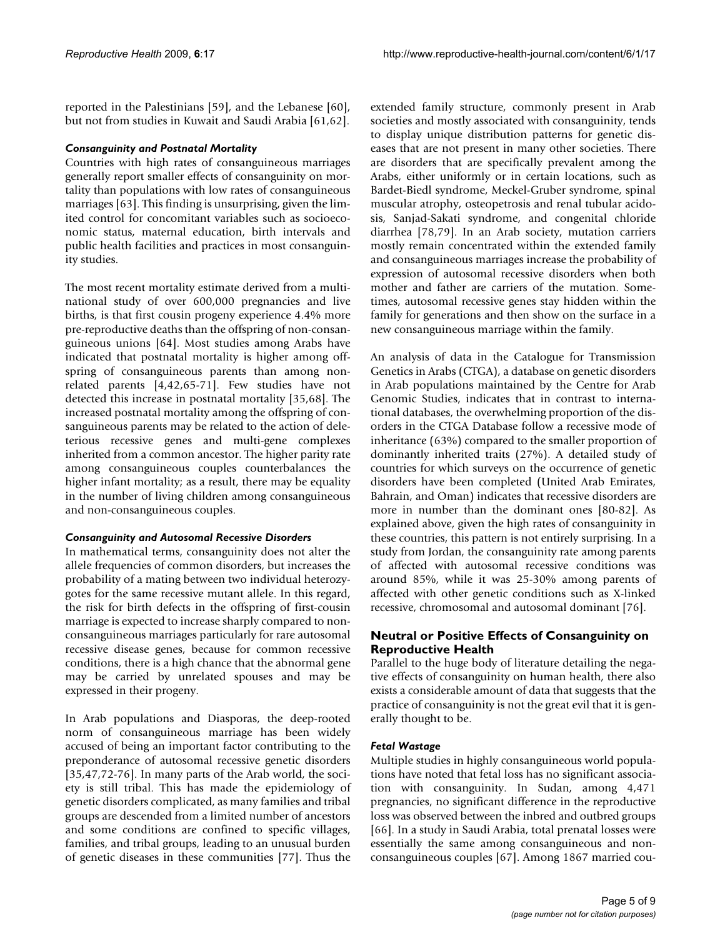reported in the Palestinians [59], and the Lebanese [60], but not from studies in Kuwait and Saudi Arabia [61,62].

#### *Consanguinity and Postnatal Mortality*

Countries with high rates of consanguineous marriages generally report smaller effects of consanguinity on mortality than populations with low rates of consanguineous marriages [63]. This finding is unsurprising, given the limited control for concomitant variables such as socioeconomic status, maternal education, birth intervals and public health facilities and practices in most consanguinity studies.

The most recent mortality estimate derived from a multinational study of over 600,000 pregnancies and live births, is that first cousin progeny experience 4.4% more pre-reproductive deaths than the offspring of non-consanguineous unions [64]. Most studies among Arabs have indicated that postnatal mortality is higher among offspring of consanguineous parents than among nonrelated parents [4,42,65-71]. Few studies have not detected this increase in postnatal mortality [35,68]. The increased postnatal mortality among the offspring of consanguineous parents may be related to the action of deleterious recessive genes and multi-gene complexes inherited from a common ancestor. The higher parity rate among consanguineous couples counterbalances the higher infant mortality; as a result, there may be equality in the number of living children among consanguineous and non-consanguineous couples.

#### *Consanguinity and Autosomal Recessive Disorders*

In mathematical terms, consanguinity does not alter the allele frequencies of common disorders, but increases the probability of a mating between two individual heterozygotes for the same recessive mutant allele. In this regard, the risk for birth defects in the offspring of first-cousin marriage is expected to increase sharply compared to nonconsanguineous marriages particularly for rare autosomal recessive disease genes, because for common recessive conditions, there is a high chance that the abnormal gene may be carried by unrelated spouses and may be expressed in their progeny.

In Arab populations and Diasporas, the deep-rooted norm of consanguineous marriage has been widely accused of being an important factor contributing to the preponderance of autosomal recessive genetic disorders [35,47,72-76]. In many parts of the Arab world, the society is still tribal. This has made the epidemiology of genetic disorders complicated, as many families and tribal groups are descended from a limited number of ancestors and some conditions are confined to specific villages, families, and tribal groups, leading to an unusual burden of genetic diseases in these communities [77]. Thus the extended family structure, commonly present in Arab societies and mostly associated with consanguinity, tends to display unique distribution patterns for genetic diseases that are not present in many other societies. There are disorders that are specifically prevalent among the Arabs, either uniformly or in certain locations, such as Bardet-Biedl syndrome, Meckel-Gruber syndrome, spinal muscular atrophy, osteopetrosis and renal tubular acidosis, Sanjad-Sakati syndrome, and congenital chloride diarrhea [78,79]. In an Arab society, mutation carriers mostly remain concentrated within the extended family and consanguineous marriages increase the probability of expression of autosomal recessive disorders when both mother and father are carriers of the mutation. Sometimes, autosomal recessive genes stay hidden within the family for generations and then show on the surface in a new consanguineous marriage within the family.

An analysis of data in the Catalogue for Transmission Genetics in Arabs (CTGA), a database on genetic disorders in Arab populations maintained by the Centre for Arab Genomic Studies, indicates that in contrast to international databases, the overwhelming proportion of the disorders in the CTGA Database follow a recessive mode of inheritance (63%) compared to the smaller proportion of dominantly inherited traits (27%). A detailed study of countries for which surveys on the occurrence of genetic disorders have been completed (United Arab Emirates, Bahrain, and Oman) indicates that recessive disorders are more in number than the dominant ones [80-82]. As explained above, given the high rates of consanguinity in these countries, this pattern is not entirely surprising. In a study from Jordan, the consanguinity rate among parents of affected with autosomal recessive conditions was around 85%, while it was 25-30% among parents of affected with other genetic conditions such as X-linked recessive, chromosomal and autosomal dominant [76].

#### **Neutral or Positive Effects of Consanguinity on Reproductive Health**

Parallel to the huge body of literature detailing the negative effects of consanguinity on human health, there also exists a considerable amount of data that suggests that the practice of consanguinity is not the great evil that it is generally thought to be.

#### *Fetal Wastage*

Multiple studies in highly consanguineous world populations have noted that fetal loss has no significant association with consanguinity. In Sudan, among 4,471 pregnancies, no significant difference in the reproductive loss was observed between the inbred and outbred groups [66]. In a study in Saudi Arabia, total prenatal losses were essentially the same among consanguineous and nonconsanguineous couples [67]. Among 1867 married cou-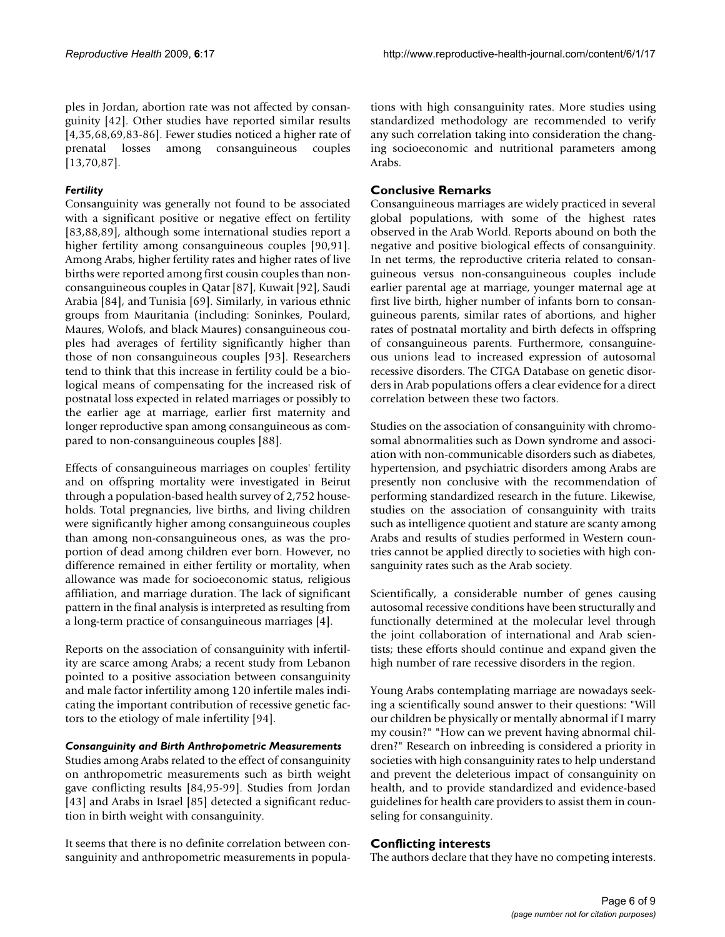ples in Jordan, abortion rate was not affected by consanguinity [42]. Other studies have reported similar results [4,35,68,69,83-86]. Fewer studies noticed a higher rate of prenatal losses among consanguineous couples [13,70,87].

#### *Fertility*

Consanguinity was generally not found to be associated with a significant positive or negative effect on fertility [83,88,89], although some international studies report a higher fertility among consanguineous couples [90,91]. Among Arabs, higher fertility rates and higher rates of live births were reported among first cousin couples than nonconsanguineous couples in Qatar [87], Kuwait [92], Saudi Arabia [84], and Tunisia [69]. Similarly, in various ethnic groups from Mauritania (including: Soninkes, Poulard, Maures, Wolofs, and black Maures) consanguineous couples had averages of fertility significantly higher than those of non consanguineous couples [93]. Researchers tend to think that this increase in fertility could be a biological means of compensating for the increased risk of postnatal loss expected in related marriages or possibly to the earlier age at marriage, earlier first maternity and longer reproductive span among consanguineous as compared to non-consanguineous couples [88].

Effects of consanguineous marriages on couples' fertility and on offspring mortality were investigated in Beirut through a population-based health survey of 2,752 households. Total pregnancies, live births, and living children were significantly higher among consanguineous couples than among non-consanguineous ones, as was the proportion of dead among children ever born. However, no difference remained in either fertility or mortality, when allowance was made for socioeconomic status, religious affiliation, and marriage duration. The lack of significant pattern in the final analysis is interpreted as resulting from a long-term practice of consanguineous marriages [4].

Reports on the association of consanguinity with infertility are scarce among Arabs; a recent study from Lebanon pointed to a positive association between consanguinity and male factor infertility among 120 infertile males indicating the important contribution of recessive genetic factors to the etiology of male infertility [94].

#### *Consanguinity and Birth Anthropometric Measurements*

Studies among Arabs related to the effect of consanguinity on anthropometric measurements such as birth weight gave conflicting results [84,95-99]. Studies from Jordan [43] and Arabs in Israel [85] detected a significant reduction in birth weight with consanguinity.

It seems that there is no definite correlation between consanguinity and anthropometric measurements in populations with high consanguinity rates. More studies using standardized methodology are recommended to verify any such correlation taking into consideration the changing socioeconomic and nutritional parameters among Arabs.

#### **Conclusive Remarks**

Consanguineous marriages are widely practiced in several global populations, with some of the highest rates observed in the Arab World. Reports abound on both the negative and positive biological effects of consanguinity. In net terms, the reproductive criteria related to consanguineous versus non-consanguineous couples include earlier parental age at marriage, younger maternal age at first live birth, higher number of infants born to consanguineous parents, similar rates of abortions, and higher rates of postnatal mortality and birth defects in offspring of consanguineous parents. Furthermore, consanguineous unions lead to increased expression of autosomal recessive disorders. The CTGA Database on genetic disorders in Arab populations offers a clear evidence for a direct correlation between these two factors.

Studies on the association of consanguinity with chromosomal abnormalities such as Down syndrome and association with non-communicable disorders such as diabetes, hypertension, and psychiatric disorders among Arabs are presently non conclusive with the recommendation of performing standardized research in the future. Likewise, studies on the association of consanguinity with traits such as intelligence quotient and stature are scanty among Arabs and results of studies performed in Western countries cannot be applied directly to societies with high consanguinity rates such as the Arab society.

Scientifically, a considerable number of genes causing autosomal recessive conditions have been structurally and functionally determined at the molecular level through the joint collaboration of international and Arab scientists; these efforts should continue and expand given the high number of rare recessive disorders in the region.

Young Arabs contemplating marriage are nowadays seeking a scientifically sound answer to their questions: "Will our children be physically or mentally abnormal if I marry my cousin?" "How can we prevent having abnormal children?" Research on inbreeding is considered a priority in societies with high consanguinity rates to help understand and prevent the deleterious impact of consanguinity on health, and to provide standardized and evidence-based guidelines for health care providers to assist them in counseling for consanguinity.

#### **Conflicting interests**

The authors declare that they have no competing interests.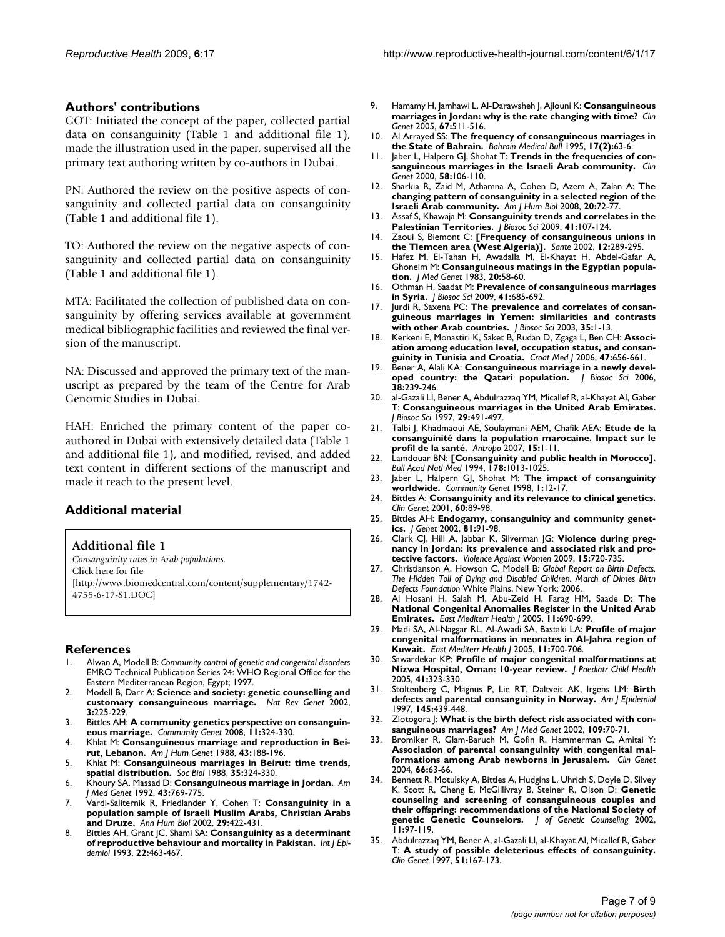#### **Authors' contributions**

GOT: Initiated the concept of the paper, collected partial data on consanguinity (Table 1 and additional file 1), made the illustration used in the paper, supervised all the primary text authoring written by co-authors in Dubai.

PN: Authored the review on the positive aspects of consanguinity and collected partial data on consanguinity (Table 1 and additional file 1).

TO: Authored the review on the negative aspects of consanguinity and collected partial data on consanguinity (Table 1 and additional file 1).

MTA: Facilitated the collection of published data on consanguinity by offering services available at government medical bibliographic facilities and reviewed the final version of the manuscript.

NA: Discussed and approved the primary text of the manuscript as prepared by the team of the Centre for Arab Genomic Studies in Dubai.

HAH: Enriched the primary content of the paper coauthored in Dubai with extensively detailed data (Table 1 and additional file 1), and modified, revised, and added text content in different sections of the manuscript and made it reach to the present level.

#### **Additional material**

#### **Additional file 1**

*Consanguinity rates in Arab populations.* Click here for file [\[http://www.biomedcentral.com/content/supplementary/1742-](http://www.biomedcentral.com/content/supplementary/1742-4755-6-17-S1.DOC) 4755-6-17-S1.DOC]

#### **References**

- 1. Alwan A, Modell B: *Community control of genetic and congenital disorders* EMRO Technical Publication Series 24: WHO Regional Office for the Eastern Mediterranean Region, Egypt; 1997.
- 2. Modell B, Darr A: **[Science and society: genetic counselling and](http://www.ncbi.nlm.nih.gov/entrez/query.fcgi?cmd=Retrieve&db=PubMed&dopt=Abstract&list_uids=11972160) [customary consanguineous marriage.](http://www.ncbi.nlm.nih.gov/entrez/query.fcgi?cmd=Retrieve&db=PubMed&dopt=Abstract&list_uids=11972160)** *Nat Rev Genet* 2002, **3:**225-229.
- 3. Bittles AH: **[A community genetics perspective on consanguin](http://www.ncbi.nlm.nih.gov/entrez/query.fcgi?cmd=Retrieve&db=PubMed&dopt=Abstract&list_uids=18690000)[eous marriage.](http://www.ncbi.nlm.nih.gov/entrez/query.fcgi?cmd=Retrieve&db=PubMed&dopt=Abstract&list_uids=18690000)** *Community Genet* 2008, **11:**324-330.
- Khlat M: [Consanguineous marriage and reproduction in Bei](http://www.ncbi.nlm.nih.gov/entrez/query.fcgi?cmd=Retrieve&db=PubMed&dopt=Abstract&list_uids=3400644)**[rut, Lebanon.](http://www.ncbi.nlm.nih.gov/entrez/query.fcgi?cmd=Retrieve&db=PubMed&dopt=Abstract&list_uids=3400644)** *Am J Hum Genet* 1988, **43:**188-196.
- 5. Khlat M: **[Consanguineous marriages in Beirut: time trends,](http://www.ncbi.nlm.nih.gov/entrez/query.fcgi?cmd=Retrieve&db=PubMed&dopt=Abstract&list_uids=3241995) [spatial distribution.](http://www.ncbi.nlm.nih.gov/entrez/query.fcgi?cmd=Retrieve&db=PubMed&dopt=Abstract&list_uids=3241995)** *Soc Biol* 1988, **35:**324-330.
- 6. Khoury SA, Massad D: **[Consanguineous marriage in Jordan.](http://www.ncbi.nlm.nih.gov/entrez/query.fcgi?cmd=Retrieve&db=PubMed&dopt=Abstract&list_uids=1642259)** *Am J Med Genet* 1992, **43:**769-775.
- 7. Vardi-Saliternik R, Friedlander Y, Cohen T: **[Consanguinity in a](http://www.ncbi.nlm.nih.gov/entrez/query.fcgi?cmd=Retrieve&db=PubMed&dopt=Abstract&list_uids=12160475) [population sample of Israeli Muslim Arabs, Christian Arabs](http://www.ncbi.nlm.nih.gov/entrez/query.fcgi?cmd=Retrieve&db=PubMed&dopt=Abstract&list_uids=12160475) [and Druze.](http://www.ncbi.nlm.nih.gov/entrez/query.fcgi?cmd=Retrieve&db=PubMed&dopt=Abstract&list_uids=12160475)** *Ann Hum Biol* 2002, **29:**422-431.
- 8. Bittles AH, Grant JC, Shami SA: **[Consanguinity as a determinant](http://www.ncbi.nlm.nih.gov/entrez/query.fcgi?cmd=Retrieve&db=PubMed&dopt=Abstract&list_uids=8359962) [of reproductive behaviour and mortality in Pakistan.](http://www.ncbi.nlm.nih.gov/entrez/query.fcgi?cmd=Retrieve&db=PubMed&dopt=Abstract&list_uids=8359962)** *Int J Epidemiol* 1993, **22:**463-467.
- 9. Hamamy H, Jamhawi L, Al-Darawsheh J, Ajlouni K: **[Consanguineous](http://www.ncbi.nlm.nih.gov/entrez/query.fcgi?cmd=Retrieve&db=PubMed&dopt=Abstract&list_uids=15857418) [marriages in Jordan: why is the rate changing with time?](http://www.ncbi.nlm.nih.gov/entrez/query.fcgi?cmd=Retrieve&db=PubMed&dopt=Abstract&list_uids=15857418)** *Clin Genet* 2005, **67:**511-516.
- 10. Al Arrayed SS: **The frequency of consanguineous marriages in the State of Bahrain.** *Bahrain Medical Bull* 1995, **17(2):**63-6.
- 11. Jaber L, Halpern GJ, Shohat T: **[Trends in the frequencies of con](http://www.ncbi.nlm.nih.gov/entrez/query.fcgi?cmd=Retrieve&db=PubMed&dopt=Abstract&list_uids=11005142)[sanguineous marriages in the Israeli Arab community.](http://www.ncbi.nlm.nih.gov/entrez/query.fcgi?cmd=Retrieve&db=PubMed&dopt=Abstract&list_uids=11005142)** *Clin Genet* 2000, **58:**106-110.
- 12. Sharkia R, Zaid M, Athamna A, Cohen D, Azem A, Zalan A: **[The](http://www.ncbi.nlm.nih.gov/entrez/query.fcgi?cmd=Retrieve&db=PubMed&dopt=Abstract&list_uids=17941037) [changing pattern of consanguinity in a selected region of the](http://www.ncbi.nlm.nih.gov/entrez/query.fcgi?cmd=Retrieve&db=PubMed&dopt=Abstract&list_uids=17941037) [Israeli Arab community.](http://www.ncbi.nlm.nih.gov/entrez/query.fcgi?cmd=Retrieve&db=PubMed&dopt=Abstract&list_uids=17941037)** *Am J Hum Biol* 2008, **20:**72-77.
- 13. Assaf S, Khawaja M: **[Consanguinity trends and correlates in the](http://www.ncbi.nlm.nih.gov/entrez/query.fcgi?cmd=Retrieve&db=PubMed&dopt=Abstract&list_uids=18549512) [Palestinian Territories.](http://www.ncbi.nlm.nih.gov/entrez/query.fcgi?cmd=Retrieve&db=PubMed&dopt=Abstract&list_uids=18549512)** *J Biosoc Sci* 2009, **41:**107-124.
- 14. Zaoui S, Biemont C: **[\[Frequency of consanguineous unions in](http://www.ncbi.nlm.nih.gov/entrez/query.fcgi?cmd=Retrieve&db=PubMed&dopt=Abstract&list_uids=12473522) [the Tlemcen area \(West Algeria\)\].](http://www.ncbi.nlm.nih.gov/entrez/query.fcgi?cmd=Retrieve&db=PubMed&dopt=Abstract&list_uids=12473522)** *Sante* 2002, **12:**289-295.
- 15. Hafez M, El-Tahan H, Awadalla M, El-Khayat H, Abdel-Gafar A, Ghoneim M: **[Consanguineous matings in the Egyptian popula](http://www.ncbi.nlm.nih.gov/entrez/query.fcgi?cmd=Retrieve&db=PubMed&dopt=Abstract&list_uids=6842535)[tion.](http://www.ncbi.nlm.nih.gov/entrez/query.fcgi?cmd=Retrieve&db=PubMed&dopt=Abstract&list_uids=6842535)** *J Med Genet* 1983, **20:**58-60.
- 16. Othman H, Saadat M: **[Prevalence of consanguineous marriages](http://www.ncbi.nlm.nih.gov/entrez/query.fcgi?cmd=Retrieve&db=PubMed&dopt=Abstract&list_uids=19433003) [in Syria.](http://www.ncbi.nlm.nih.gov/entrez/query.fcgi?cmd=Retrieve&db=PubMed&dopt=Abstract&list_uids=19433003)** *J Biosoc Sci* 2009, **41:**685-692.
- 17. Jurdi R, Saxena PC: **[The prevalence and correlates of consan](http://www.ncbi.nlm.nih.gov/entrez/query.fcgi?cmd=Retrieve&db=PubMed&dopt=Abstract&list_uids=12537152)[guineous marriages in Yemen: similarities and contrasts](http://www.ncbi.nlm.nih.gov/entrez/query.fcgi?cmd=Retrieve&db=PubMed&dopt=Abstract&list_uids=12537152) [with other Arab countries.](http://www.ncbi.nlm.nih.gov/entrez/query.fcgi?cmd=Retrieve&db=PubMed&dopt=Abstract&list_uids=12537152)** *J Biosoc Sci* 2003, **35:**1-13.
- 18. Kerkeni E, Monastiri K, Saket B, Rudan D, Zgaga L, Ben CH: **[Associ](http://www.ncbi.nlm.nih.gov/entrez/query.fcgi?cmd=Retrieve&db=PubMed&dopt=Abstract&list_uids=16912991)[ation among education level, occupation status, and consan](http://www.ncbi.nlm.nih.gov/entrez/query.fcgi?cmd=Retrieve&db=PubMed&dopt=Abstract&list_uids=16912991)[guinity in Tunisia and Croatia.](http://www.ncbi.nlm.nih.gov/entrez/query.fcgi?cmd=Retrieve&db=PubMed&dopt=Abstract&list_uids=16912991)** *Croat Med J* 2006, **47:**656-661.
- 19. Bener A, Alali KA: **[Consanguineous marriage in a newly devel](http://www.ncbi.nlm.nih.gov/entrez/query.fcgi?cmd=Retrieve&db=PubMed&dopt=Abstract&list_uids=16490156)[oped country: the Qatari population.](http://www.ncbi.nlm.nih.gov/entrez/query.fcgi?cmd=Retrieve&db=PubMed&dopt=Abstract&list_uids=16490156)** *J Biosoc Sci* 2006, **38:**239-246.
- 20. al-Gazali LI, Bener A, Abdulrazzaq YM, Micallef R, al-Khayat AI, Gaber T: **[Consanguineous marriages in the United Arab Emirates.](http://www.ncbi.nlm.nih.gov/entrez/query.fcgi?cmd=Retrieve&db=PubMed&dopt=Abstract&list_uids=9881148)** *J Biosoc Sci* 1997, **29:**491-497.
- 21. Talbi J, Khadmaoui AE, Soulaymani AEM, Chafik AEA: **Etude de la consanguinité dans la population marocaine. Impact sur le profil de la santé.** *Antropo* 2007, **15:**1-11.
- 22. Lamdouar BN: **[\[Consanguinity and public health in Morocco\].](http://www.ncbi.nlm.nih.gov/entrez/query.fcgi?cmd=Retrieve&db=PubMed&dopt=Abstract&list_uids=7994577)** *Bull Acad Natl Med* 1994, **178:**1013-1025.
- 23. Jaber L, Halpern GJ, Shohat M: **[The impact of consanguinity](http://www.ncbi.nlm.nih.gov/entrez/query.fcgi?cmd=Retrieve&db=PubMed&dopt=Abstract&list_uids=15178982) [worldwide.](http://www.ncbi.nlm.nih.gov/entrez/query.fcgi?cmd=Retrieve&db=PubMed&dopt=Abstract&list_uids=15178982)** *Community Genet* 1998, **1:**12-17.
- 24. Bittles A: **[Consanguinity and its relevance to clinical genetics.](http://www.ncbi.nlm.nih.gov/entrez/query.fcgi?cmd=Retrieve&db=PubMed&dopt=Abstract&list_uids=11553039)** *Clin Genet* 2001, **60:**89-98.
- 25. Bittles AH: **[Endogamy, consanguinity and community genet](http://www.ncbi.nlm.nih.gov/entrez/query.fcgi?cmd=Retrieve&db=PubMed&dopt=Abstract&list_uids=12717037)[ics.](http://www.ncbi.nlm.nih.gov/entrez/query.fcgi?cmd=Retrieve&db=PubMed&dopt=Abstract&list_uids=12717037)** *J Genet* 2002, **81:**91-98.
- 26. Clark CJ, Hill A, Jabbar K, Silverman JG: **[Violence during preg](http://www.ncbi.nlm.nih.gov/entrez/query.fcgi?cmd=Retrieve&db=PubMed&dopt=Abstract&list_uids=19269932)[nancy in Jordan: its prevalence and associated risk and pro](http://www.ncbi.nlm.nih.gov/entrez/query.fcgi?cmd=Retrieve&db=PubMed&dopt=Abstract&list_uids=19269932)[tective factors.](http://www.ncbi.nlm.nih.gov/entrez/query.fcgi?cmd=Retrieve&db=PubMed&dopt=Abstract&list_uids=19269932)** *Violence Against Women* 2009, **15:**720-735.
- 27. Christianson A, Howson C, Modell B: *Global Report on Birth Defects. The Hidden Toll of Dying and Disabled Children. March of Dimes Birtn Defects Foundation* White Plains, New York; 2006.
- 28. Al Hosani H, Salah M, Abu-Zeid H, Farag HM, Saade D: **[The](http://www.ncbi.nlm.nih.gov/entrez/query.fcgi?cmd=Retrieve&db=PubMed&dopt=Abstract&list_uids=16700385) [National Congenital Anomalies Register in the United Arab](http://www.ncbi.nlm.nih.gov/entrez/query.fcgi?cmd=Retrieve&db=PubMed&dopt=Abstract&list_uids=16700385) [Emirates.](http://www.ncbi.nlm.nih.gov/entrez/query.fcgi?cmd=Retrieve&db=PubMed&dopt=Abstract&list_uids=16700385)** *East Mediterr Health J* 2005, **11:**690-699.
- 29. Madi SA, Al-Naggar RL, Al-Awadi SA, Bastaki LA: **[Profile of major](http://www.ncbi.nlm.nih.gov/entrez/query.fcgi?cmd=Retrieve&db=PubMed&dopt=Abstract&list_uids=16700386) [congenital malformations in neonates in Al-Jahra region of](http://www.ncbi.nlm.nih.gov/entrez/query.fcgi?cmd=Retrieve&db=PubMed&dopt=Abstract&list_uids=16700386) [Kuwait.](http://www.ncbi.nlm.nih.gov/entrez/query.fcgi?cmd=Retrieve&db=PubMed&dopt=Abstract&list_uids=16700386)** *East Mediterr Health J* 2005, **11:**700-706.
- 30. Sawardekar KP: **[Profile of major congenital malformations at](http://www.ncbi.nlm.nih.gov/entrez/query.fcgi?cmd=Retrieve&db=PubMed&dopt=Abstract&list_uids=16014135) [Nizwa Hospital, Oman: 10-year review.](http://www.ncbi.nlm.nih.gov/entrez/query.fcgi?cmd=Retrieve&db=PubMed&dopt=Abstract&list_uids=16014135)** *J Paediatr Child Health* 2005, **41:**323-330.
- 31. Stoltenberg C, Magnus P, Lie RT, Daltveit AK, Irgens LM: **[Birth](http://www.ncbi.nlm.nih.gov/entrez/query.fcgi?cmd=Retrieve&db=PubMed&dopt=Abstract&list_uids=9048518) [defects and parental consanguinity in Norway.](http://www.ncbi.nlm.nih.gov/entrez/query.fcgi?cmd=Retrieve&db=PubMed&dopt=Abstract&list_uids=9048518)** *Am J Epidemiol* 1997, **145:**439-448.
- 32. Zlotogora J: **[What is the birth defect risk associated with con](http://www.ncbi.nlm.nih.gov/entrez/query.fcgi?cmd=Retrieve&db=PubMed&dopt=Abstract&list_uids=11932996)[sanguineous marriages?](http://www.ncbi.nlm.nih.gov/entrez/query.fcgi?cmd=Retrieve&db=PubMed&dopt=Abstract&list_uids=11932996)** *Am J Med Genet* 2002, **109:**70-71.
- 33. Bromiker R, Glam-Baruch M, Gofin R, Hammerman C, Amitai Y: **[Association of parental consanguinity with congenital mal](http://www.ncbi.nlm.nih.gov/entrez/query.fcgi?cmd=Retrieve&db=PubMed&dopt=Abstract&list_uids=15200510)[formations among Arab newborns in Jerusalem.](http://www.ncbi.nlm.nih.gov/entrez/query.fcgi?cmd=Retrieve&db=PubMed&dopt=Abstract&list_uids=15200510)** *Clin Genet* 2004, **66:**63-66.
- Bennett R, Motulsky A, Bittles A, Hudgins L, Uhrich S, Doyle D, Silvey K, Scott R, Cheng E, McGillivray B, Steiner R, Olson D: **Genetic counseling and screening of consanguineous couples and their offspring: recommendations of the National Society of genetic Genetic Counselors.** *J of Genetic Counseling* 2002, **11:**97-119.
- 35. Abdulrazzaq YM, Bener A, al-Gazali LI, al-Khayat AI, Micallef R, Gaber T: **[A study of possible deleterious effects of consanguinity.](http://www.ncbi.nlm.nih.gov/entrez/query.fcgi?cmd=Retrieve&db=PubMed&dopt=Abstract&list_uids=9137881)** *Clin Genet* 1997, **51:**167-173.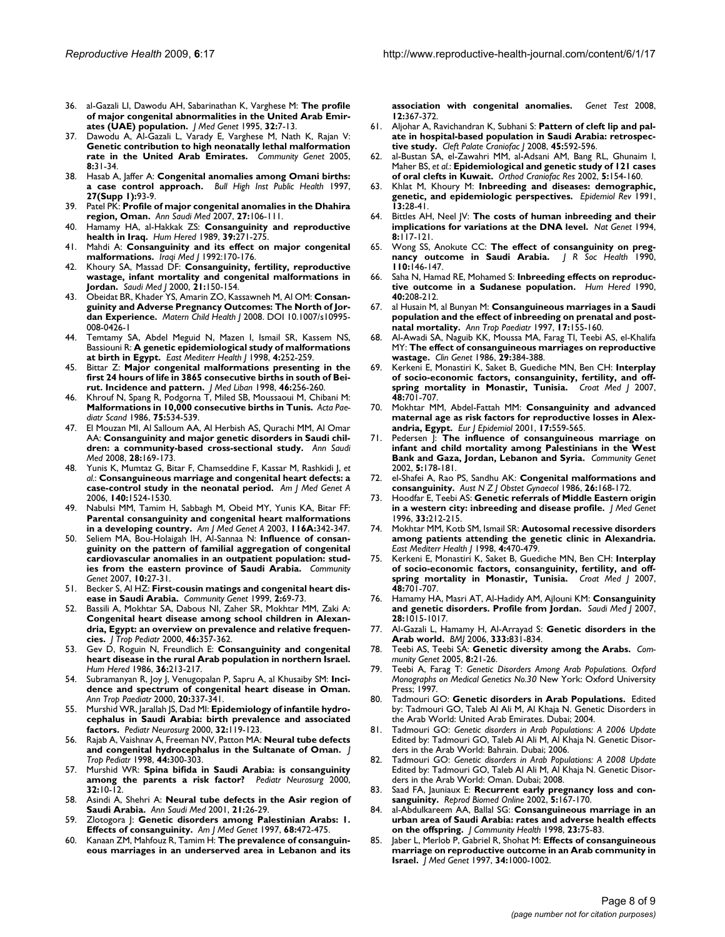- 36. al-Gazali LI, Dawodu AH, Sabarinathan K, Varghese M: **[The profile](http://www.ncbi.nlm.nih.gov/entrez/query.fcgi?cmd=Retrieve&db=PubMed&dopt=Abstract&list_uids=7897633) [of major congenital abnormalities in the United Arab Emir](http://www.ncbi.nlm.nih.gov/entrez/query.fcgi?cmd=Retrieve&db=PubMed&dopt=Abstract&list_uids=7897633)[ates \(UAE\) population.](http://www.ncbi.nlm.nih.gov/entrez/query.fcgi?cmd=Retrieve&db=PubMed&dopt=Abstract&list_uids=7897633)** *J Med Genet* 1995, **32:**7-13.
- 37. Dawodu A, Al-Gazali L, Varady E, Varghese M, Nath K, Rajan V: **[Genetic contribution to high neonatally lethal malformation](http://www.ncbi.nlm.nih.gov/entrez/query.fcgi?cmd=Retrieve&db=PubMed&dopt=Abstract&list_uids=15767752) [rate in the United Arab Emirates.](http://www.ncbi.nlm.nih.gov/entrez/query.fcgi?cmd=Retrieve&db=PubMed&dopt=Abstract&list_uids=15767752)** *Community Genet* 2005, **8:**31-34.
- 38. Hasab A, Jaffer A: **Congenital anomalies among Omani births: a case control approach.** *Bull High Inst Public Health* 1997, **27(Supp 1):**93-9.
- 39. Patel PK: **[Profile of major congenital anomalies in the Dhahira](http://www.ncbi.nlm.nih.gov/entrez/query.fcgi?cmd=Retrieve&db=PubMed&dopt=Abstract&list_uids=17356321) [region, Oman.](http://www.ncbi.nlm.nih.gov/entrez/query.fcgi?cmd=Retrieve&db=PubMed&dopt=Abstract&list_uids=17356321)** *Ann Saudi Med* 2007, **27:**106-111.
- 40. Hamamy HA, al-Hakkak ZS: **[Consanguinity and reproductive](http://www.ncbi.nlm.nih.gov/entrez/query.fcgi?cmd=Retrieve&db=PubMed&dopt=Abstract&list_uids=2613253) [health in Iraq.](http://www.ncbi.nlm.nih.gov/entrez/query.fcgi?cmd=Retrieve&db=PubMed&dopt=Abstract&list_uids=2613253)** *Hum Hered* 1989, **39:**271-275.
- 41. Mahdi A: **Consanguinity and its effect on major congenital malformations.** *Iraqi Med J* 1992:170-176.
- 42. Khoury SA, Massad DF: **[Consanguinity, fertility, reproductive](http://www.ncbi.nlm.nih.gov/entrez/query.fcgi?cmd=Retrieve&db=PubMed&dopt=Abstract&list_uids=11533771) [wastage, infant mortality and congenital malformations in](http://www.ncbi.nlm.nih.gov/entrez/query.fcgi?cmd=Retrieve&db=PubMed&dopt=Abstract&list_uids=11533771) [Jordan.](http://www.ncbi.nlm.nih.gov/entrez/query.fcgi?cmd=Retrieve&db=PubMed&dopt=Abstract&list_uids=11533771)** *Saudi Med J* 2000, **21:**150-154.
- 43. Obeidat BR, Khader YS, Amarin ZO, Kassawneh M, Al OM: **[Consan](http://www.ncbi.nlm.nih.gov/entrez/query.fcgi?cmd=Retrieve&db=PubMed&dopt=Abstract&list_uids=18982433)[guinity and Adverse Pregnancy Outcomes: The North of Jor](http://www.ncbi.nlm.nih.gov/entrez/query.fcgi?cmd=Retrieve&db=PubMed&dopt=Abstract&list_uids=18982433)[dan Experience.](http://www.ncbi.nlm.nih.gov/entrez/query.fcgi?cmd=Retrieve&db=PubMed&dopt=Abstract&list_uids=18982433)** *Matern Child Health J* 2008. DOI 10.1007/s10995- 008-0426-1
- 44. Temtamy SA, Abdel Meguid N, Mazen I, Ismail SR, Kassem NS, Bassiouni R: **A genetic epidemiological study of malformations at birth in Egypt.** *East Mediterr Health J* 1998, **4:**252-259.
- 45. Bittar Z: **[Major congenital malformations presenting in the](http://www.ncbi.nlm.nih.gov/entrez/query.fcgi?cmd=Retrieve&db=PubMed&dopt=Abstract&list_uids=10349259) [first 24 hours of life in 3865 consecutive births in south of Bei](http://www.ncbi.nlm.nih.gov/entrez/query.fcgi?cmd=Retrieve&db=PubMed&dopt=Abstract&list_uids=10349259)[rut. Incidence and pattern.](http://www.ncbi.nlm.nih.gov/entrez/query.fcgi?cmd=Retrieve&db=PubMed&dopt=Abstract&list_uids=10349259)** *J Med Liban* 1998, **46:**256-260.
- 46. Khrouf N, Spang R, Podgorna T, Miled SB, Moussaoui M, Chibani M: **[Malformations in 10,000 consecutive births in Tunis.](http://www.ncbi.nlm.nih.gov/entrez/query.fcgi?cmd=Retrieve&db=PubMed&dopt=Abstract&list_uids=3751547)** *Acta Paediatr Scand* 1986, **75:**534-539.
- 47. El Mouzan MI, Al Salloum AA, Al Herbish AS, Qurachi MM, Al Omar AA: **[Consanguinity and major genetic disorders in Saudi chil](http://www.ncbi.nlm.nih.gov/entrez/query.fcgi?cmd=Retrieve&db=PubMed&dopt=Abstract&list_uids=18500181)[dren: a community-based cross-sectional study.](http://www.ncbi.nlm.nih.gov/entrez/query.fcgi?cmd=Retrieve&db=PubMed&dopt=Abstract&list_uids=18500181)** *Ann Saudi Med* 2008, **28:**169-173.
- 48. Yunis K, Mumtaz G, Bitar F, Chamseddine F, Kassar M, Rashkidi J, *et al.*: **[Consanguineous marriage and congenital heart defects: a](http://www.ncbi.nlm.nih.gov/entrez/query.fcgi?cmd=Retrieve&db=PubMed&dopt=Abstract&list_uids=16763961) [case-control study in the neonatal period.](http://www.ncbi.nlm.nih.gov/entrez/query.fcgi?cmd=Retrieve&db=PubMed&dopt=Abstract&list_uids=16763961)** *Am J Med Genet A* 2006, **140:**1524-1530.
- 49. Nabulsi MM, Tamim H, Sabbagh M, Obeid MY, Yunis KA, Bitar FF: **[Parental consanguinity and congenital heart malformations](http://www.ncbi.nlm.nih.gov/entrez/query.fcgi?cmd=Retrieve&db=PubMed&dopt=Abstract&list_uids=12522788) [in a developing country.](http://www.ncbi.nlm.nih.gov/entrez/query.fcgi?cmd=Retrieve&db=PubMed&dopt=Abstract&list_uids=12522788)** *Am J Med Genet A* 2003, **116A:**342-347.
- 50. Seliem MA, Bou-Holaigah IH, Al-Sannaa N: **[Influence of consan](http://www.ncbi.nlm.nih.gov/entrez/query.fcgi?cmd=Retrieve&db=PubMed&dopt=Abstract&list_uids=17167247)[guinity on the pattern of familial aggregation of congenital](http://www.ncbi.nlm.nih.gov/entrez/query.fcgi?cmd=Retrieve&db=PubMed&dopt=Abstract&list_uids=17167247) cardiovascular anomalies in an outpatient population: stud[ies from the eastern province of Saudi Arabia.](http://www.ncbi.nlm.nih.gov/entrez/query.fcgi?cmd=Retrieve&db=PubMed&dopt=Abstract&list_uids=17167247)** *Community Genet* 2007, **10:**27-31.
- 51. Becker S, Al HZ: **[First-cousin matings and congenital heart dis](http://www.ncbi.nlm.nih.gov/entrez/query.fcgi?cmd=Retrieve&db=PubMed&dopt=Abstract&list_uids=15181336)[ease in Saudi Arabia.](http://www.ncbi.nlm.nih.gov/entrez/query.fcgi?cmd=Retrieve&db=PubMed&dopt=Abstract&list_uids=15181336)** *Community Genet* 1999, **2:**69-73.
- 52. Bassili A, Mokhtar SA, Dabous NI, Zaher SR, Mokhtar MM, Zaki A: **[Congenital heart disease among school children in Alexan](http://www.ncbi.nlm.nih.gov/entrez/query.fcgi?cmd=Retrieve&db=PubMed&dopt=Abstract&list_uids=11191148)dria, Egypt: an overview on prevalence and relative frequen[cies.](http://www.ncbi.nlm.nih.gov/entrez/query.fcgi?cmd=Retrieve&db=PubMed&dopt=Abstract&list_uids=11191148)** *J Trop Pediatr* 2000, **46:**357-362.
- 53. Gev D, Roguin N, Freundlich E: **[Consanguinity and congenital](http://www.ncbi.nlm.nih.gov/entrez/query.fcgi?cmd=Retrieve&db=PubMed&dopt=Abstract&list_uids=3759097) [heart disease in the rural Arab population in northern Israel.](http://www.ncbi.nlm.nih.gov/entrez/query.fcgi?cmd=Retrieve&db=PubMed&dopt=Abstract&list_uids=3759097)** *Hum Hered* 1986, **36:**213-217.
- 54. Subramanyan R, Joy J, Venugopalan P, Sapru A, al Khusaiby SM: **[Inci](http://www.ncbi.nlm.nih.gov/entrez/query.fcgi?cmd=Retrieve&db=PubMed&dopt=Abstract&list_uids=11219172)[dence and spectrum of congenital heart disease in Oman.](http://www.ncbi.nlm.nih.gov/entrez/query.fcgi?cmd=Retrieve&db=PubMed&dopt=Abstract&list_uids=11219172)** *Ann Trop Paediatr* 2000, **20:**337-341.
- 55. Murshid WR, Jarallah JS, Dad MI: **[Epidemiology of infantile hydro](http://www.ncbi.nlm.nih.gov/entrez/query.fcgi?cmd=Retrieve&db=PubMed&dopt=Abstract&list_uids=10867557)[cephalus in Saudi Arabia: birth prevalence and associated](http://www.ncbi.nlm.nih.gov/entrez/query.fcgi?cmd=Retrieve&db=PubMed&dopt=Abstract&list_uids=10867557) [factors.](http://www.ncbi.nlm.nih.gov/entrez/query.fcgi?cmd=Retrieve&db=PubMed&dopt=Abstract&list_uids=10867557)** *Pediatr Neurosurg* 2000, **32:**119-123.
- 56. Rajab A, Vaishnav A, Freeman NV, Patton MA: **[Neural tube defects](http://www.ncbi.nlm.nih.gov/entrez/query.fcgi?cmd=Retrieve&db=PubMed&dopt=Abstract&list_uids=9819495) [and congenital hydrocephalus in the Sultanate of Oman.](http://www.ncbi.nlm.nih.gov/entrez/query.fcgi?cmd=Retrieve&db=PubMed&dopt=Abstract&list_uids=9819495)** *J Trop Pediatr* 1998, **44:**300-303.
- 57. Murshid WR: **[Spina bifida in Saudi Arabia: is consanguinity](http://www.ncbi.nlm.nih.gov/entrez/query.fcgi?cmd=Retrieve&db=PubMed&dopt=Abstract&list_uids=10765132) [among the parents a risk factor?](http://www.ncbi.nlm.nih.gov/entrez/query.fcgi?cmd=Retrieve&db=PubMed&dopt=Abstract&list_uids=10765132)** *Pediatr Neurosurg* 2000, **32:**10-12.
- 58. Asindi A, Shehri A: **[Neural tube defects in the Asir region of](http://www.ncbi.nlm.nih.gov/entrez/query.fcgi?cmd=Retrieve&db=PubMed&dopt=Abstract&list_uids=17264584) [Saudi Arabia.](http://www.ncbi.nlm.nih.gov/entrez/query.fcgi?cmd=Retrieve&db=PubMed&dopt=Abstract&list_uids=17264584)** *Ann Saudi Med* 2001, **21:**26-29.
- 59. Zlotogora J: **[Genetic disorders among Palestinian Arabs: 1.](http://www.ncbi.nlm.nih.gov/entrez/query.fcgi?cmd=Retrieve&db=PubMed&dopt=Abstract&list_uids=9021024) [Effects of consanguinity.](http://www.ncbi.nlm.nih.gov/entrez/query.fcgi?cmd=Retrieve&db=PubMed&dopt=Abstract&list_uids=9021024)** *Am J Med Genet* 1997, **68:**472-475.
- 60. Kanaan ZM, Mahfouz R, Tamim H: **[The prevalence of consanguin](http://www.ncbi.nlm.nih.gov/entrez/query.fcgi?cmd=Retrieve&db=PubMed&dopt=Abstract&list_uids=18666858)[eous marriages in an underserved area in Lebanon and its](http://www.ncbi.nlm.nih.gov/entrez/query.fcgi?cmd=Retrieve&db=PubMed&dopt=Abstract&list_uids=18666858)**

**[association with congenital anomalies.](http://www.ncbi.nlm.nih.gov/entrez/query.fcgi?cmd=Retrieve&db=PubMed&dopt=Abstract&list_uids=18666858)** *Genet Test* 2008, **12:**367-372.

- 61. Aljohar A, Ravichandran K, Subhani S: **[Pattern of cleft lip and pal](http://www.ncbi.nlm.nih.gov/entrez/query.fcgi?cmd=Retrieve&db=PubMed&dopt=Abstract&list_uids=18956928)[ate in hospital-based population in Saudi Arabia: retrospec](http://www.ncbi.nlm.nih.gov/entrez/query.fcgi?cmd=Retrieve&db=PubMed&dopt=Abstract&list_uids=18956928)[tive study.](http://www.ncbi.nlm.nih.gov/entrez/query.fcgi?cmd=Retrieve&db=PubMed&dopt=Abstract&list_uids=18956928)** *Cleft Palate Craniofac J* 2008, **45:**592-596.
- 62. al-Bustan SA, el-Zawahri MM, al-Adsani AM, Bang RL, Ghunaim I, Maher BS, *et al.*: **[Epidemiological and genetic study of 121 cases](http://www.ncbi.nlm.nih.gov/entrez/query.fcgi?cmd=Retrieve&db=PubMed&dopt=Abstract&list_uids=12194664) [of oral clefts in Kuwait.](http://www.ncbi.nlm.nih.gov/entrez/query.fcgi?cmd=Retrieve&db=PubMed&dopt=Abstract&list_uids=12194664)** *Orthod Craniofac Res* 2002, **5:**154-160.
- 63. Khlat M, Khoury M: **[Inbreeding and diseases: demographic,](http://www.ncbi.nlm.nih.gov/entrez/query.fcgi?cmd=Retrieve&db=PubMed&dopt=Abstract&list_uids=1765114) [genetic, and epidemiologic perspectives.](http://www.ncbi.nlm.nih.gov/entrez/query.fcgi?cmd=Retrieve&db=PubMed&dopt=Abstract&list_uids=1765114)** *Epidemiol Rev* 1991, **13:**28-41.
- Bittles AH, Neel JV: [The costs of human inbreeding and their](http://www.ncbi.nlm.nih.gov/entrez/query.fcgi?cmd=Retrieve&db=PubMed&dopt=Abstract&list_uids=7842008) **[implications for variations at the DNA level.](http://www.ncbi.nlm.nih.gov/entrez/query.fcgi?cmd=Retrieve&db=PubMed&dopt=Abstract&list_uids=7842008)** *Nat Genet* 1994, **8:**117-121.
- 65. Wong SS, Anokute CC: **[The effect of consanguinity on preg](http://www.ncbi.nlm.nih.gov/entrez/query.fcgi?cmd=Retrieve&db=PubMed&dopt=Abstract&list_uids=2121985)[nancy outcome in Saudi Arabia.](http://www.ncbi.nlm.nih.gov/entrez/query.fcgi?cmd=Retrieve&db=PubMed&dopt=Abstract&list_uids=2121985)** *J R Soc Health* 1990, **110:**146-147.
- 66. Saha N, Hamad RE, Mohamed S: **[Inbreeding effects on reproduc](http://www.ncbi.nlm.nih.gov/entrez/query.fcgi?cmd=Retrieve&db=PubMed&dopt=Abstract&list_uids=2379925)[tive outcome in a Sudanese population.](http://www.ncbi.nlm.nih.gov/entrez/query.fcgi?cmd=Retrieve&db=PubMed&dopt=Abstract&list_uids=2379925)** *Hum Hered* 1990, **40:**208-212.
- 67. al Husain M, al Bunyan M: **[Consanguineous marriages in a Saudi](http://www.ncbi.nlm.nih.gov/entrez/query.fcgi?cmd=Retrieve&db=PubMed&dopt=Abstract&list_uids=9230979) [population and the effect of inbreeding on prenatal and post](http://www.ncbi.nlm.nih.gov/entrez/query.fcgi?cmd=Retrieve&db=PubMed&dopt=Abstract&list_uids=9230979)[natal mortality.](http://www.ncbi.nlm.nih.gov/entrez/query.fcgi?cmd=Retrieve&db=PubMed&dopt=Abstract&list_uids=9230979)** *Ann Trop Paediatr* 1997, **17:**155-160.
- 68. Al-Awadi SA, Naguib KK, Moussa MA, Farag TI, Teebi AS, el-Khalifa MY: **[The effect of consanguineous marriages on reproductive](http://www.ncbi.nlm.nih.gov/entrez/query.fcgi?cmd=Retrieve&db=PubMed&dopt=Abstract&list_uids=3742845) [wastage.](http://www.ncbi.nlm.nih.gov/entrez/query.fcgi?cmd=Retrieve&db=PubMed&dopt=Abstract&list_uids=3742845)** *Clin Genet* 1986, **29:**384-388.
- 69. Kerkeni E, Monastiri K, Saket B, Guediche MN, Ben CH: **[Interplay](http://www.ncbi.nlm.nih.gov/entrez/query.fcgi?cmd=Retrieve&db=PubMed&dopt=Abstract&list_uids=17948956) [of socio-economic factors, consanguinity, fertility, and off](http://www.ncbi.nlm.nih.gov/entrez/query.fcgi?cmd=Retrieve&db=PubMed&dopt=Abstract&list_uids=17948956)[spring mortality in Monastir, Tunisia.](http://www.ncbi.nlm.nih.gov/entrez/query.fcgi?cmd=Retrieve&db=PubMed&dopt=Abstract&list_uids=17948956)** *Croat Med J* 2007, **48:**701-707.
- 70. Mokhtar MM, Abdel-Fattah MM: **[Consanguinity and advanced](http://www.ncbi.nlm.nih.gov/entrez/query.fcgi?cmd=Retrieve&db=PubMed&dopt=Abstract&list_uids=11949729) [maternal age as risk factors for reproductive losses in Alex](http://www.ncbi.nlm.nih.gov/entrez/query.fcgi?cmd=Retrieve&db=PubMed&dopt=Abstract&list_uids=11949729)[andria, Egypt.](http://www.ncbi.nlm.nih.gov/entrez/query.fcgi?cmd=Retrieve&db=PubMed&dopt=Abstract&list_uids=11949729)** *Eur J Epidemiol* 2001, **17:**559-565.
- 71. Pedersen J: **[The influence of consanguineous marriage on](http://www.ncbi.nlm.nih.gov/entrez/query.fcgi?cmd=Retrieve&db=PubMed&dopt=Abstract&list_uids=14960888) [infant and child mortality among Palestinians in the West](http://www.ncbi.nlm.nih.gov/entrez/query.fcgi?cmd=Retrieve&db=PubMed&dopt=Abstract&list_uids=14960888) [Bank and Gaza, Jordan, Lebanon and Syria.](http://www.ncbi.nlm.nih.gov/entrez/query.fcgi?cmd=Retrieve&db=PubMed&dopt=Abstract&list_uids=14960888)** *Community Genet* 2002, **5:**178-181.
- 72. el-Shafei A, Rao PS, Sandhu AK: **[Congenital malformations and](http://www.ncbi.nlm.nih.gov/entrez/query.fcgi?cmd=Retrieve&db=PubMed&dopt=Abstract&list_uids=3468935) [consanguinity.](http://www.ncbi.nlm.nih.gov/entrez/query.fcgi?cmd=Retrieve&db=PubMed&dopt=Abstract&list_uids=3468935)** *Aust N Z J Obstet Gynaecol* 1986, **26:**168-172.
- 73. Hoodfar E, Teebi AS: **[Genetic referrals of Middle Eastern origin](http://www.ncbi.nlm.nih.gov/entrez/query.fcgi?cmd=Retrieve&db=PubMed&dopt=Abstract&list_uids=8728693) [in a western city: inbreeding and disease profile.](http://www.ncbi.nlm.nih.gov/entrez/query.fcgi?cmd=Retrieve&db=PubMed&dopt=Abstract&list_uids=8728693)** *J Med Genet* 1996, **33:**212-215.
- 74. Mokhtar MM, Kotb SM, Ismail SR: **Autosomal recessive disorders among patients attending the genetic clinic in Alexandria.** *East Mediterr Health J* 1998, **4:**470-479.
- 75. Kerkeni E, Monastiri K, Saket B, Guediche MN, Ben CH: **[Interplay](http://www.ncbi.nlm.nih.gov/entrez/query.fcgi?cmd=Retrieve&db=PubMed&dopt=Abstract&list_uids=17948956) [of socio-economic factors, consanguinity, fertility, and off](http://www.ncbi.nlm.nih.gov/entrez/query.fcgi?cmd=Retrieve&db=PubMed&dopt=Abstract&list_uids=17948956)[spring mortality in Monastir, Tunisia.](http://www.ncbi.nlm.nih.gov/entrez/query.fcgi?cmd=Retrieve&db=PubMed&dopt=Abstract&list_uids=17948956)** *Croat Med J* 2007, **48:**701-707.
- 76. Hamamy HA, Masri AT, Al-Hadidy AM, Ajlouni KM: **[Consanguinity](http://www.ncbi.nlm.nih.gov/entrez/query.fcgi?cmd=Retrieve&db=PubMed&dopt=Abstract&list_uids=17603701) [and genetic disorders. Profile from Jordan.](http://www.ncbi.nlm.nih.gov/entrez/query.fcgi?cmd=Retrieve&db=PubMed&dopt=Abstract&list_uids=17603701)** *Saudi Med J* 2007, **28:**1015-1017.
- 77. Al-Gazali L, Hamamy H, Al-Arrayad S: **[Genetic disorders in the](http://www.ncbi.nlm.nih.gov/entrez/query.fcgi?cmd=Retrieve&db=PubMed&dopt=Abstract&list_uids=17053236) [Arab world.](http://www.ncbi.nlm.nih.gov/entrez/query.fcgi?cmd=Retrieve&db=PubMed&dopt=Abstract&list_uids=17053236)** *BMJ* 2006, **333:**831-834.
- 78. Teebi AS, Teebi SA: **[Genetic diversity among the Arabs.](http://www.ncbi.nlm.nih.gov/entrez/query.fcgi?cmd=Retrieve&db=PubMed&dopt=Abstract&list_uids=15767750)** *Community Genet* 2005, **8:**21-26.
- 79. Teebi A, Farag T: *Genetic Disorders Among Arab Populations. Oxford Monographs on Medical Genetics No.30* New York: Oxford University Press; 1997.
- 80. Tadmouri GO: **Genetic disorders in Arab Populations.** Edited by: Tadmouri GO, Taleb Al Ali M, Al Khaja N. Genetic Disorders in the Arab World: United Arab Emirates. Dubai; 2004.
- 81. Tadmouri GO: *Genetic disorders in Arab Populations: A 2006 Update* Edited by: Tadmouri GO, Taleb Al Ali M, Al Khaja N. Genetic Disorders in the Arab World: Bahrain. Dubai; 2006.
- 82. Tadmouri GO: *Genetic disorders in Arab Populations: A 2008 Update* Edited by: Tadmouri GO, Taleb Al Ali M, Al Khaja N. Genetic Disorders in the Arab World: Oman. Dubai; 2008.
- 83. Saad FA, Jauniaux E: **[Recurrent early pregnancy loss and con](http://www.ncbi.nlm.nih.gov/entrez/query.fcgi?cmd=Retrieve&db=PubMed&dopt=Abstract&list_uids=12419042)[sanguinity.](http://www.ncbi.nlm.nih.gov/entrez/query.fcgi?cmd=Retrieve&db=PubMed&dopt=Abstract&list_uids=12419042)** *Reprod Biomed Online* 2002, **5:**167-170.
- 84. al-Abdulkareem AA, Ballal SG: **[Consanguineous marriage in an](http://www.ncbi.nlm.nih.gov/entrez/query.fcgi?cmd=Retrieve&db=PubMed&dopt=Abstract&list_uids=9526727) [urban area of Saudi Arabia: rates and adverse health effects](http://www.ncbi.nlm.nih.gov/entrez/query.fcgi?cmd=Retrieve&db=PubMed&dopt=Abstract&list_uids=9526727) [on the offspring.](http://www.ncbi.nlm.nih.gov/entrez/query.fcgi?cmd=Retrieve&db=PubMed&dopt=Abstract&list_uids=9526727)** *J Community Health* 1998, **23:**75-83.
- 85. Jaber L, Merlob P, Gabriel R, Shohat M: **[Effects of consanguineous](http://www.ncbi.nlm.nih.gov/entrez/query.fcgi?cmd=Retrieve&db=PubMed&dopt=Abstract&list_uids=9429142) [marriage on reproductive outcome in an Arab community in](http://www.ncbi.nlm.nih.gov/entrez/query.fcgi?cmd=Retrieve&db=PubMed&dopt=Abstract&list_uids=9429142) [Israel.](http://www.ncbi.nlm.nih.gov/entrez/query.fcgi?cmd=Retrieve&db=PubMed&dopt=Abstract&list_uids=9429142)** *J Med Genet* 1997, **34:**1000-1002.